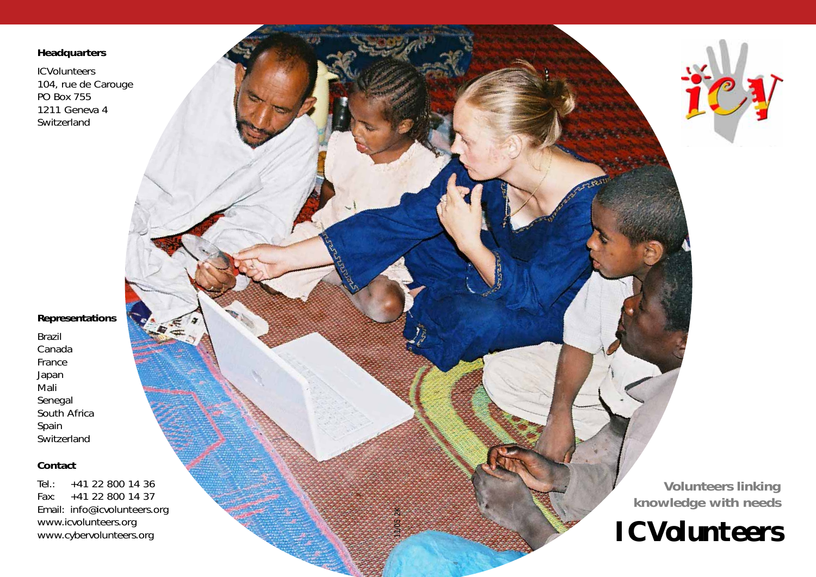### **Headquarters**

**ICVolunteers** 104, rue de Carouge PO Box 755 1211 Geneva 4 Switzerland

### **Representations**

Brazil Canada France Japan Mali Senegal South Africa Spain **Switzerland** 

#### **Contact**

Tel.: +41 22 800 14 36 Fax: +41 22 800 14 37 Email: info@icvolunteers.org www.icvolunteers.org www.cybervolunteers.org

**09.2005**

11/05 2K

**Volunteers linking knowledge with needs**

# **ICVolunteers**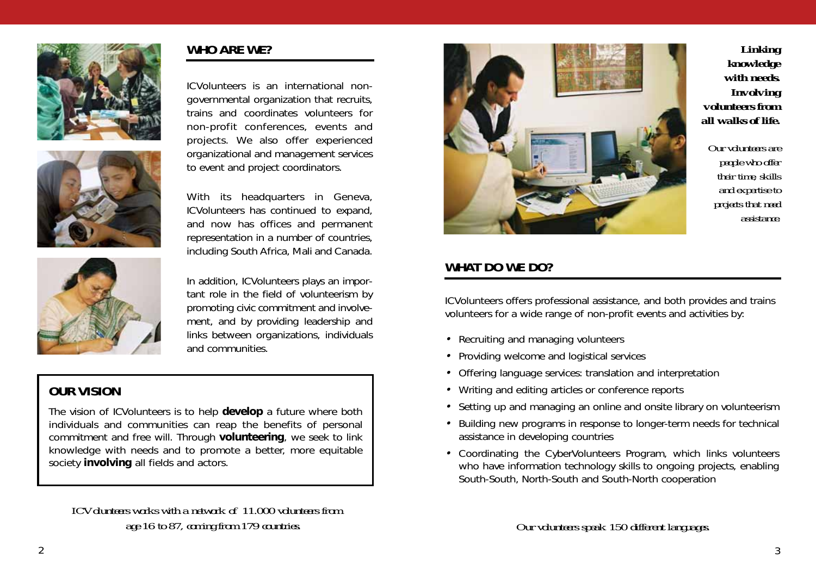



ICVolunteers is an international nongovernmental organization that recruits, trains and coordinates volunteers for non-profit conferences, events and projects. We also offer experienced organizational and management services to event and project coordinators.

**WHO ARE WE?**

With its headquarters in Geneva, ICVolunteers has continued to expand, and now has offices and permanent representation in a number of countries, including South Africa, Mali and Canada.



In addition, ICVolunteers plays an important role in the field of volunteerism by promoting civic commitment and involvement, and by providing leadership and links between organizations, individuals and communities.

# **OUR VISION**

*The vision of ICVolunteers is to help develop a future where both individuals and communities can reap the benefits of personal commitment and free will. Through volunteering, we seek to link knowledge with needs and to promote a better, more equitable society involving all fields and actors.*

*ICVolunteers works with a network of 11.000 volunteers from age 16 to 87, coming from 179 countries. Our volunteers speak 150 different languages.*



*Linking knowledge with needs. Involving volunteers from all walks of life.* 

*Our volunteers are people who offer their time, skills and expertise to projects that need assistance.* 

# **WHAT DO WE DO?**

ICVolunteers offers professional assistance, and both provides and trains volunteers for a wide range of non-profit events and activities by:

- Recruiting and managing volunteers
- Providing welcome and logistical services
- Offering language services: translation and interpretation
- Writing and editing articles or conference reports
- Setting up and managing an online and onsite library on volunteerism
- Building new programs in response to longer-term needs for technical assistance in developing countries
- Coordinating the CyberVolunteers Program, which links volunteers who have information technology skills to ongoing projects, enabling South-South, North-South and South-North cooperation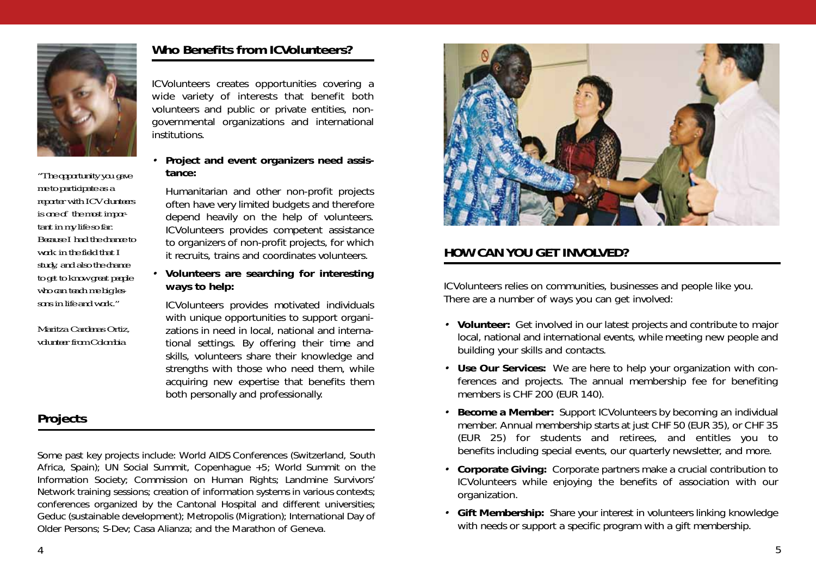

*"The opportunity you gave me to participate as a reporter with ICVolunteers is one of the most important in my life so far. Because I had the chance to work in the field that I study, and also the chance to get to know great people who can teach me big lessons in life and work."*

*Maritza Cardenas Ortiz, volunteer from Colombia*

## **Who Benefits from ICVolunteers?**

ICVolunteers creates opportunities covering a wide variety of interests that benefit both volunteers and public or private entities, nongovernmental organizations and international institutions.

• **Project and event organizers need assistance:**

Humanitarian and other non-profit projects often have very limited budgets and therefore depend heavily on the help of volunteers. ICVolunteers provides competent assistance to organizers of non-profit projects, for which it recruits, trains and coordinates volunteers.

#### • **Volunteers are searching for interesting ways to help:**

ICVolunteers provides motivated individuals with unique opportunities to support organizations in need in local, national and international settings. By offering their time and skills, volunteers share their knowledge and strengths with those who need them, while acquiring new expertise that benefits them both personally and professionally.

# **Projects**

*Some past key projects include:* World AIDS Conferences (Switzerland, South Africa, Spain); UN Social Summit, Copenhague +5; World Summit on the Information Society; Commission on Human Rights; Landmine Survivors' Network training sessions; creation of information systems in various contexts; conferences organized by the Cantonal Hospital and different universities; Geduc (sustainable development); Metropolis (Migration); International Day of Older Persons; S-Dev; Casa Alianza; and the Marathon of Geneva.



# **HOW CAN YOU GET INVOLVED?**

ICVolunteers relies on communities, businesses and people like you. There are a number of ways you can get involved:

- **Volunteer:** Get involved in our latest projects and contribute to major local, national and international events, while meeting new people and building your skills and contacts.
- **Use Our Services:** We are here to help your organization with conferences and projects. The annual membership fee for benefiting members is CHF 200 (EUR 140).
- **Become a Member:** Support ICVolunteers by becoming an individual member. Annual membership starts at just CHF 50 (EUR 35), or CHF 35 (EUR 25) for students and retirees, and entitles you to benefits including special events, our quarterly newsletter, and more.
- **Corporate Giving:** Corporate partners make a crucial contribution to ICVolunteers while enjoying the benefits of association with our organization.
- **Gift Membership:** Share your interest in volunteers linking knowledge with needs or support a specific program with a gift membership.